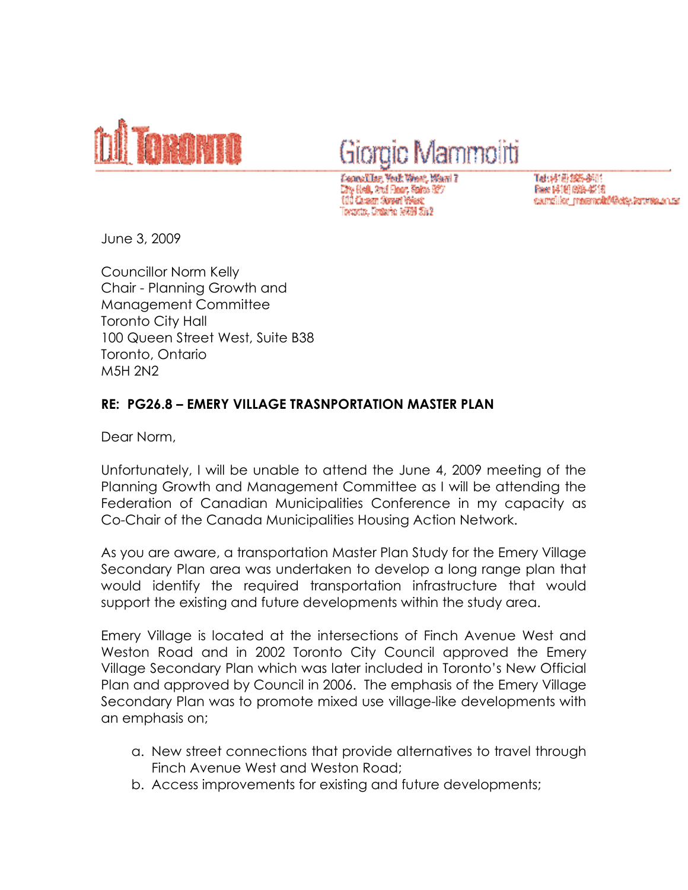

## Giorgio Mammoliti

Fennst Isr. Chw Nedi, 2mil Floar, Salva 52 Curson Novell West branto, Ordario 1993) 2012

Tel:材质接触例的 Rese 博斯 088-4218 samslike matemakõ@eke.teronia.oruse

June 3, 2009

Councillor Norm Kelly Chair - Planning Growth and Management Committee Toronto City Hall 100 Queen Street West, Suite B38 Toronto, Ontario M5H 2N2

## RE: PG26.8 – EMERY VILLAGE TRASNPORTATION MASTER PLAN

Dear Norm,

Unfortunately, I will be unable to attend the June 4, 2009 meeting of the Planning Growth and Management Committee as I will be attending the Federation of Canadian Municipalities Conference in my capacity as Co-Chair of the Canada Municipalities Housing Action Network.

As you are aware, a transportation Master Plan Study for the Emery Village Secondary Plan area was undertaken to develop a long range plan that would identify the required transportation infrastructure that would support the existing and future developments within the study area.

Emery Village is located at the intersections of Finch Avenue West and Weston Road and in 2002 Toronto City Council approved the Emery Village Secondary Plan which was later included in Toronto's New Official Plan and approved by Council in 2006. The emphasis of the Emery Village Secondary Plan was to promote mixed use village-like developments with an emphasis on;

- a. New street connections that provide alternatives to travel through Finch Avenue West and Weston Road;
- b. Access improvements for existing and future developments;